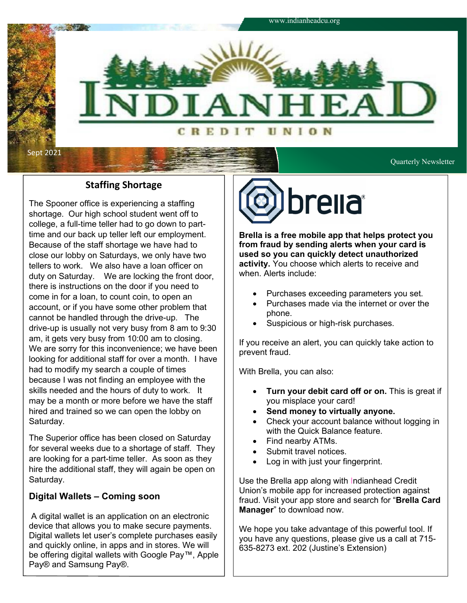

### **Staffing Shortage**

The Spooner office is experiencing a staffing shortage. Our high school student went off to college, a full-time teller had to go down to parttime and our back up teller left our employment. Because of the staff shortage we have had to close our lobby on Saturdays, we only have two tellers to work. We also have a loan officer on duty on Saturday. We are locking the front door, there is instructions on the door if you need to come in for a loan, to count coin, to open an account, or if you have some other problem that cannot be handled through the drive-up. The drive-up is usually not very busy from 8 am to 9:30 am, it gets very busy from 10:00 am to closing. We are sorry for this inconvenience; we have been looking for additional staff for over a month. I have had to modify my search a couple of times because I was not finding an employee with the skills needed and the hours of duty to work. It may be a month or more before we have the staff hired and trained so we can open the lobby on Saturday.

The Superior office has been closed on Saturday for several weeks due to a shortage of staff. They are looking for a part-time teller. As soon as they hire the additional staff, they will again be open on Saturday.

#### **Digital Wallets – Coming soon**

A digital wallet is an application on an electronic device that allows you to make secure payments. Digital wallets let user's complete purchases easily and quickly online, in apps and in stores. We will be offering digital wallets with Google Pay™, Apple Pay® and Samsung Pay®.



**Brella is a free mobile app that helps protect you from fraud by sending alerts when your card is used so you can quickly detect unauthorized activity.** You choose which alerts to receive and when. Alerts include:

- Purchases exceeding parameters you set.
- Purchases made via the internet or over the phone.
- Suspicious or high-risk purchases.

If you receive an alert, you can quickly take action to prevent fraud.

With Brella, you can also:

- **Turn your debit card off or on.** This is great if you misplace your card!
- **Send money to virtually anyone.**
- Check your account balance without logging in with the Quick Balance feature.
- Find nearby ATMs.
- Submit travel notices.
- Log in with just your fingerprint.

Use the Brella app along with Indianhead Credit Union's mobile app for increased protection against fraud. Visit your app store and search for "**Brella Card Manager**" to download now.

We hope you take advantage of this powerful tool. If you have any questions, please give us a call at 715- 635-8273 ext. 202 (Justine's Extension)